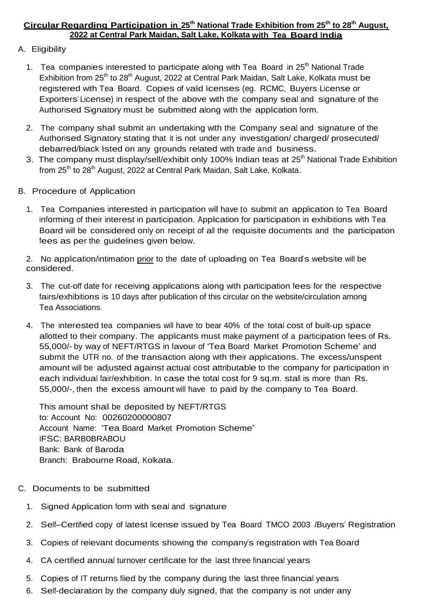# **Circular Regarding Participation in 25th National Trade Exhibition from 25th to 28th August, 2022 at Central Park Maidan, Salt Lake, Kolkata with Tea Board India**

# A. Eligibility

- 1. Tea companies interested to participate along with Tea Board in 25<sup>th</sup> National Trade Exhibition from 25<sup>th</sup> to 28<sup>th</sup> August, 2022 at Central Park Maidan, Salt Lake, Kolkata must be registered with Tea Board. Copies of valid licenses (eg. RCMC, Buyers License or Exporters' License) in respect of the above with the company seal and signature of the Authorised Signatory must be submitted along with the application form.
- 2. The company shall submit an undertaking with the Company seal and signature of the Authorised Signatory stating that it is not under any investigation/ charged/ prosecuted/ debarred/black listed on any grounds related with trade and business.
- 3. The company must display/sell/exhibit only 100% Indian teas at 25<sup>th</sup> National Trade Exhibition from  $25<sup>th</sup>$  to  $28<sup>th</sup>$  August, 2022 at Central Park Maidan, Salt Lake, Kolkata.
- B. Procedure of Application
	- 1. Tea Companies interested in participation will have to submit an application to Tea Board informing of their interest in participation. Application for participation in exhibitions with Tea Board will be considered only on receipt of all the requisite documents and the participation fees as per the guidelines given below.

2. No application/intimation prior to the date of uploading on Tea Board's website will be considered.

- 3. The cut-off date for receiving applications along with participation fees for the respective fairs/exhibitions is 10 days after publication of this circular on the website/circulation among Tea Associations.
- 4. The interested tea companies will have to bear 40% of the total cost of built-up space allotted to their company. The applicants must make payment of a participation fees of Rs. 55,000/- by way of NEFT/RTGS in favour of "Tea Board Market Promotion Scheme" and submit the UTR no. of the transaction along with their applications. The excess/unspent amount will be adjusted against actual cost attributable to the company for participation in each individual fair/exhibition. In case the total cost for 9 sq.m. stall is more than Rs. 55,000/-, then the excess amount will have to paid by the company to Tea Board.

This amount shall be deposited by NEFT/RTGS to: Account No: 00260200000807 Account Name: "Tea Board Market Promotion Scheme" IFSC: BARB0BRABOU Bank: Bank of Baroda Branch: Brabourne Road, Kolkata.

- C. Documents to be submitted
	- 1. Signed Application form with seal and signature
	- 2. Self–Certified copy of latest license issued by Tea Board TMCO 2003 /Buyers' Registration
	- 3. Copies of relevant documents showing the company's registration with Tea Board
	- 4. CA certified annual turnover certificate for the last three financial years
	- 5. Copies of IT returns filed by the company during the last three financial years
	- 6. Self-declaration by the company duly signed, that the company is not under any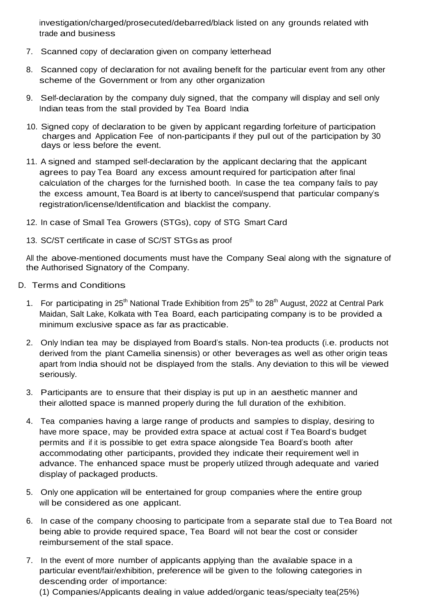investigation/charged/prosecuted/debarred/black listed on any grounds related with trade and business

- 7. Scanned copy of declaration given on company letterhead
- 8. Scanned copy of declaration for not availing benefit for the particular event from any other scheme of the Government or from any other organization
- 9. Self-declaration by the company duly signed, that the company will display and sell only Indian teas from the stall provided by Tea Board India
- 10. Signed copy of declaration to be given by applicant regarding forfeiture of participation charges and Application Fee of non-participants if they pull out of the participation by 30 days or less before the event.
- 11. A signed and stamped self-declaration by the applicant declaring that the applicant agrees to pay Tea Board any excess amount required for participation after final calculation of the charges for the furnished booth. In case the tea company fails to pay the excess amount, Tea Board is at liberty to cancel/suspend that particular company's registration/license/Identification and blacklist the company.
- 12. In case of Small Tea Growers (STGs), copy of STG Smart Card
- 13. SC/ST certificate in case of SC/ST STGs as proof

All the above-mentioned documents must have the Company Seal along with the signature of the Authorised Signatory of the Company.

- D. Terms and Conditions
	- 1. For participating in 25<sup>th</sup> National Trade Exhibition from 25<sup>th</sup> to 28<sup>th</sup> August, 2022 at Central Park Maidan, Salt Lake, Kolkata with Tea Board, each participating company is to be provided a minimum exclusive space as far as practicable.
	- 2. Only Indian tea may be displayed from Board's stalls. Non-tea products (i.e. products not derived from the plant Camellia sinensis) or other beverages as well as other origin teas apart from India should not be displayed from the stalls. Any deviation to this will be viewed seriously.
	- 3. Participants are to ensure that their display is put up in an aesthetic manner and their allotted space is manned properly during the full duration of the exhibition.
	- 4. Tea companies having a large range of products and samples to display, desiring to have more space, may be provided extra space at actual cost if Tea Board's budget permits and if it is possible to get extra space alongside Tea Board's booth after accommodating other participants, provided they indicate their requirement well in advance. The enhanced space must be properly utilized through adequate and varied display of packaged products.
	- 5. Only one application will be entertained for group companies where the entire group will be considered as one applicant.
	- 6. In case of the company choosing to participate from a separate stall due to Tea Board not being able to provide required space, Tea Board will not bear the cost or consider reimbursement of the stall space.
	- 7. In the event of more number of applicants applying than the available space in a particular event/fair/exhibition, preference will be given to the following categories in descending order of importance:
		- (1) Companies/Applicants dealing in value added/organic teas/specialty tea(25%)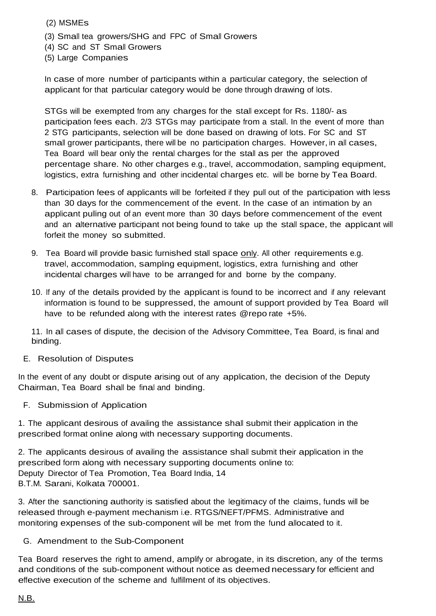(2) MSMEs

- (3) Small tea growers/SHG and FPC of Small Growers
- (4) SC and ST Small Growers
- (5) Large Companies

In case of more number of participants within a particular category, the selection of applicant for that particular category would be done through drawing of lots.

STGs will be exempted from any charges for the stall except for Rs. 1180/- as participation fees each. 2/3 STGs may participate from a stall. In the event of more than 2 STG participants, selection will be done based on drawing of lots. For SC and ST small grower participants, there will be no participation charges. However, in all cases, Tea Board will bear only the rental charges for the stall as per the approved percentage share. No other charges e.g., travel, accommodation, sampling equipment, logistics, extra furnishing and other incidental charges etc. will be borne by Tea Board.

- 8. Participation fees of applicants will be forfeited if they pull out of the participation with less than 30 days for the commencement of the event. In the case of an intimation by an applicant pulling out of an event more than 30 days before commencement of the event and an alternative participant not being found to take up the stall space, the applicant will forfeit the money so submitted.
- 9. Tea Board will provide basic furnished stall space only. All other requirements e.g. travel, accommodation, sampling equipment, logistics, extra furnishing and other incidental charges will have to be arranged for and borne by the company.
- 10. If any of the details provided by the applicant is found to be incorrect and if any relevant information is found to be suppressed, the amount of support provided by Tea Board will have to be refunded along with the interest rates [@repo](mailto:@repo) rate +5%.

11. In all cases of dispute, the decision of the Advisory Committee, Tea Board, is final and binding.

# E. Resolution of Disputes

In the event of any doubt or dispute arising out of any application, the decision of the Deputy Chairman, Tea Board shall be final and binding.

F. Submission of Application

1. The applicant desirous of availing the assistance shall submit their application in the prescribed format online along with necessary supporting documents.

2. The applicants desirous of availing the assistance shall submit their application in the prescribed form along with necessary supporting documents online to: Deputy Director of Tea Promotion, Tea Board India, 14 B.T.M. Sarani, Kolkata 700001.

3. After the sanctioning authority is satisfied about the legitimacy of the claims, funds will be released through e-payment mechanism i.e. RTGS/NEFT/PFMS. Administrative and monitoring expenses of the sub-component will be met from the fund allocated to it.

G. Amendment to the Sub-Component

Tea Board reserves the right to amend, amplify or abrogate, in its discretion, any of the terms and conditions of the sub-component without notice as deemed necessary for efficient and effective execution of the scheme and fulfillment of its objectives.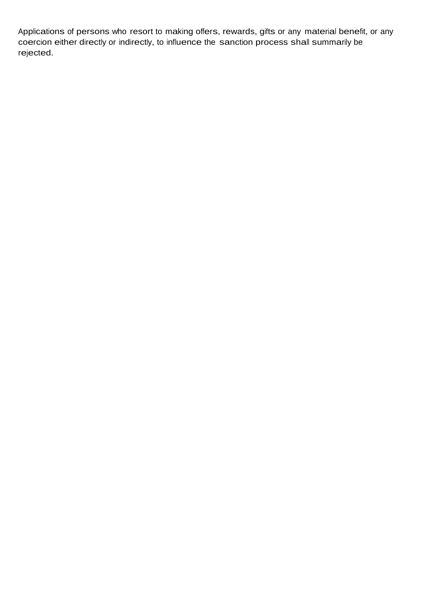Applications of persons who resort to making offers, rewards, gifts or any material benefit, or any coercion either directly or indirectly, to influence the sanction process shall summarily be rejected.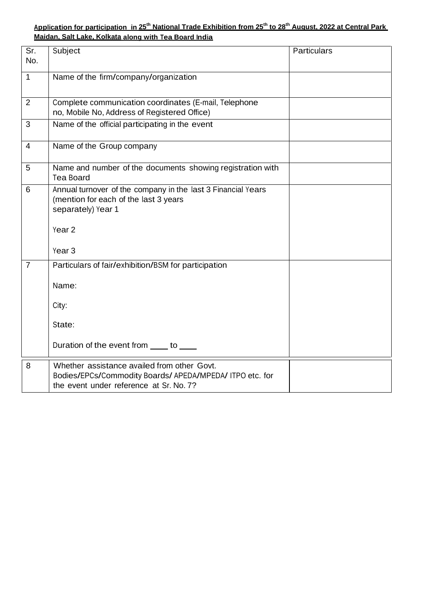### **Application for participation in 25th National Trade Exhibition from 25th to 28th August, 2022 at Central Park Maidan, Salt Lake, Kolkata along with Tea Board India**

| Sr.<br>No.     | Subject                                                                                                                                            | Particulars |
|----------------|----------------------------------------------------------------------------------------------------------------------------------------------------|-------------|
| $\mathbf{1}$   | Name of the firm/company/organization                                                                                                              |             |
| $\overline{2}$ | Complete communication coordinates (E-mail, Telephone<br>no, Mobile No, Address of Registered Office)                                              |             |
| 3              | Name of the official participating in the event                                                                                                    |             |
| $\overline{4}$ | Name of the Group company                                                                                                                          |             |
| 5              | Name and number of the documents showing registration with<br><b>Tea Board</b>                                                                     |             |
| 6              | Annual turnover of the company in the last 3 Financial Years<br>(mention for each of the last 3 years<br>separately) Year 1                        |             |
|                | Year <sub>2</sub><br>Year <sub>3</sub>                                                                                                             |             |
| $\overline{7}$ | Particulars of fair/exhibition/BSM for participation<br>Name:                                                                                      |             |
|                | City:                                                                                                                                              |             |
|                | State:                                                                                                                                             |             |
|                | Duration of the event from _____ to ____                                                                                                           |             |
| 8              | Whether assistance availed from other Govt.<br>Bodies/EPCs/Commodity Boards/ APEDA/MPEDA/ ITPO etc. for<br>the event under reference at Sr. No. 7? |             |